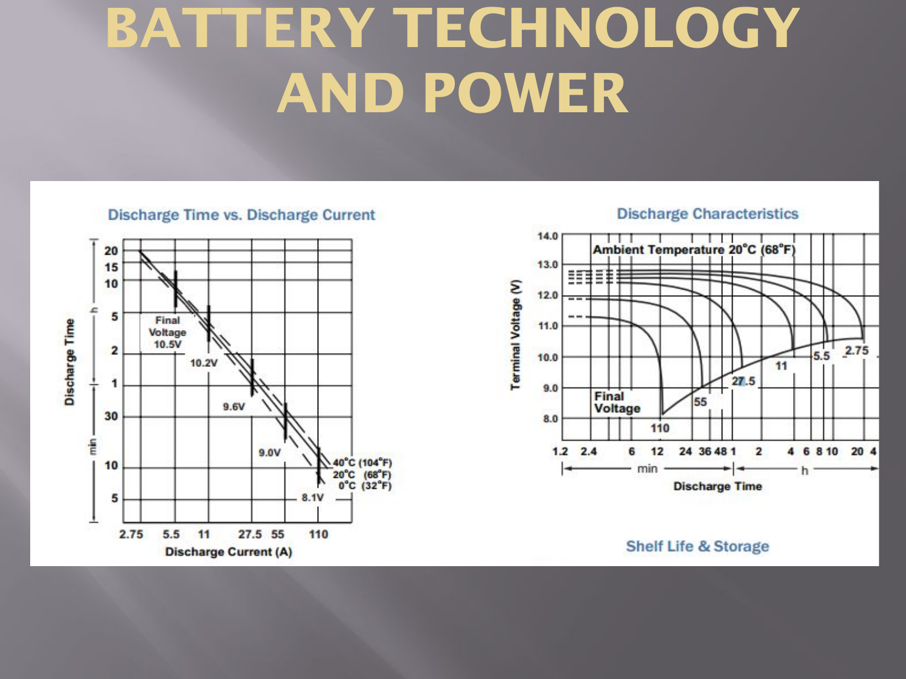## **BATTERY TECHNOLOGY AND POWER**

#### **Discharge Time vs. Discharge Current**







**Shelf Life & Storage**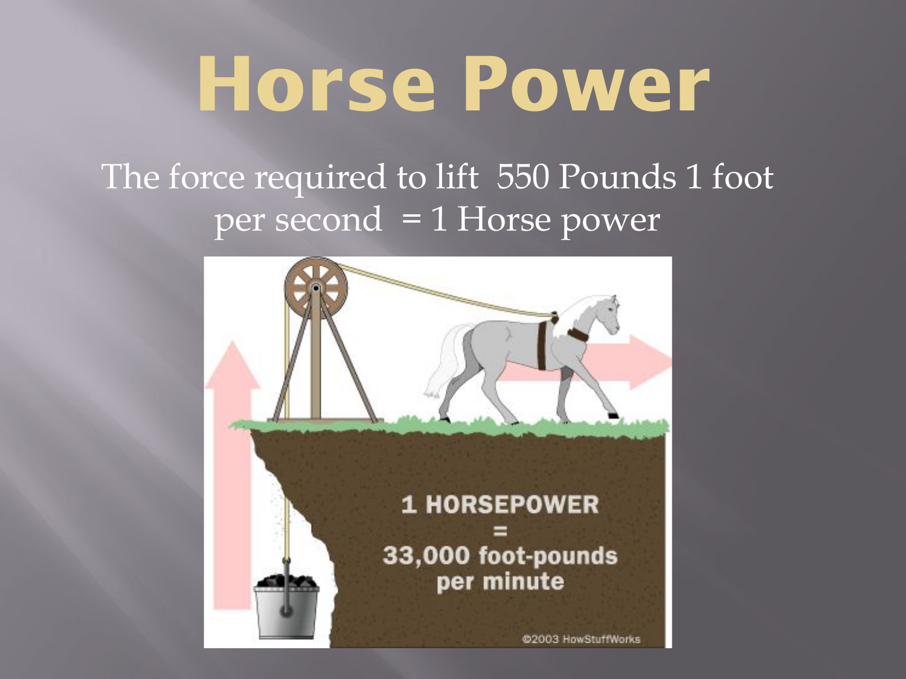# **Horse Power**

### The force required to lift 550 Pounds 1 foot per second = 1 Horse power

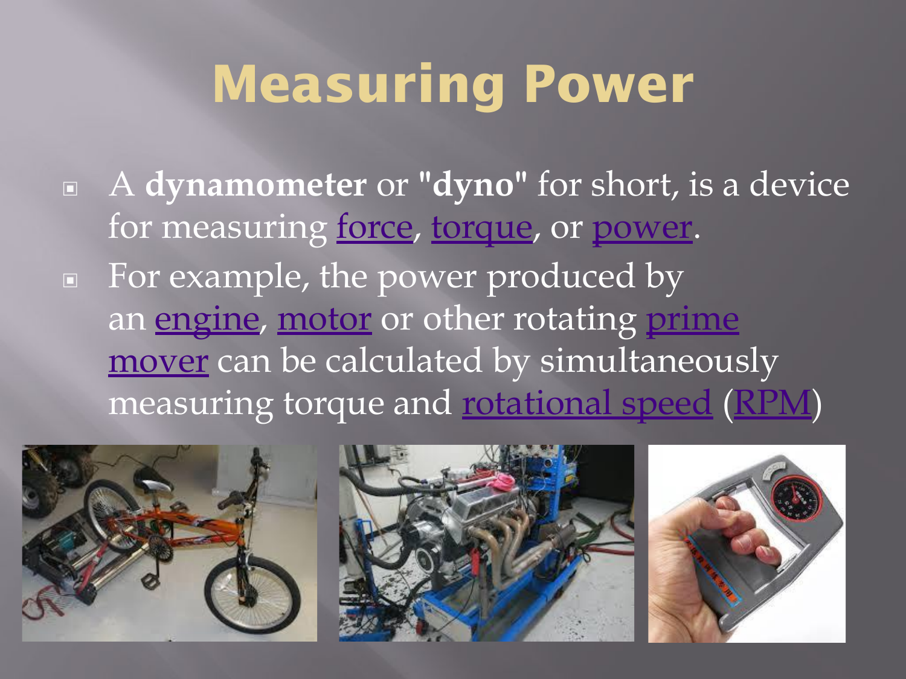### **Measuring Power**

▣ A **dynamometer** or **"dyno"** for short, is a device for measuring force, torque, or power. ▣ For example, the power produced by an **engine**, motor or other rotating prime mover can be calculated by simultaneously measuring torque and rotational speed (RPM)

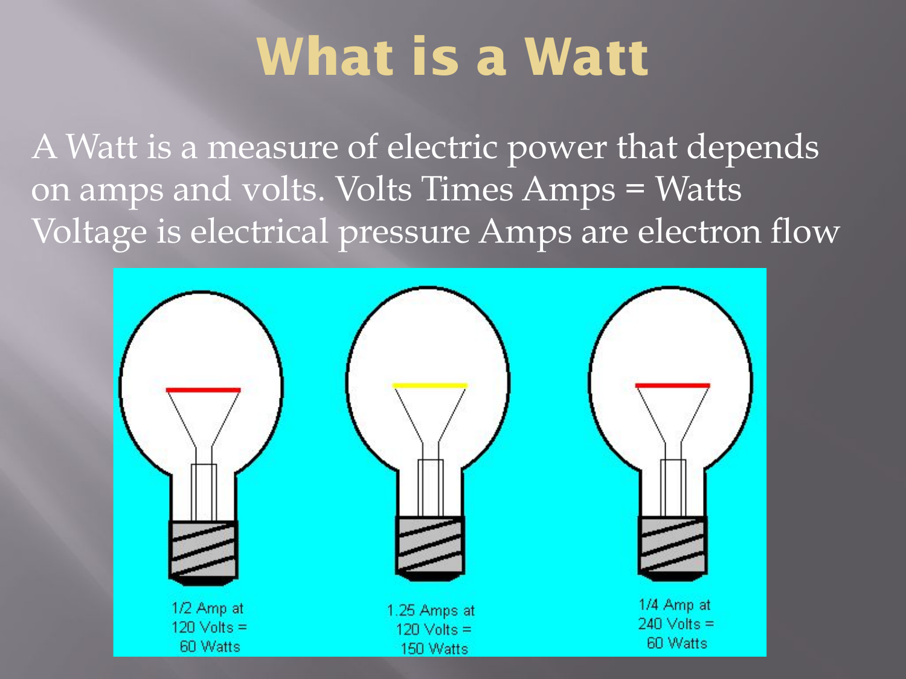### **What is a Watt**

A Watt is a measure of electric power that depends on amps and volts. Volts Times Amps = Watts Voltage is electrical pressure Amps are electron flow

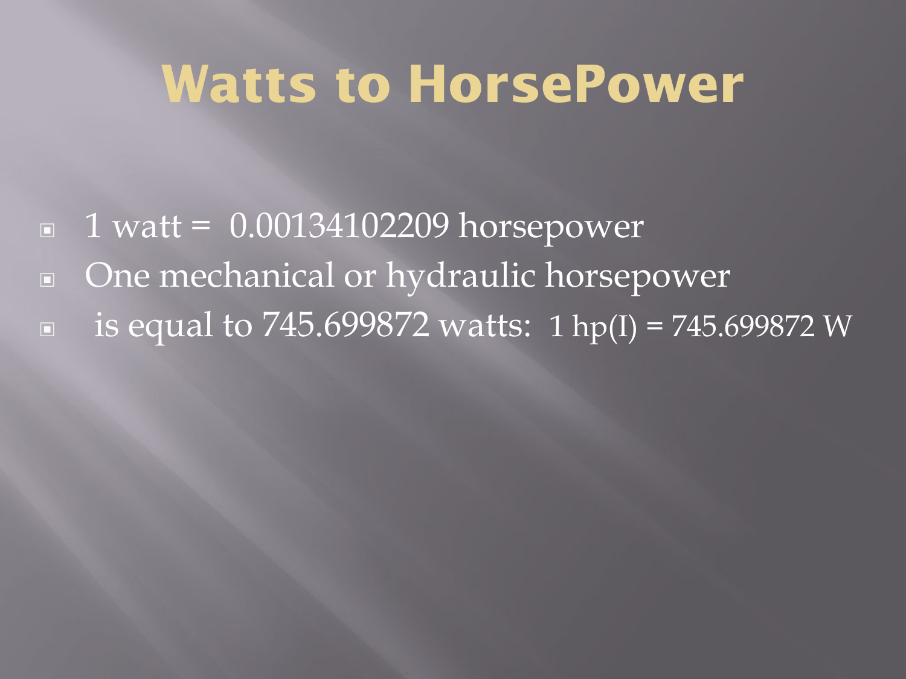### **Watts to HorsePower**

- $\blacksquare$  1 watt = 0.00134102209 horsepower
- ▣ One mechanical or hydraulic horsepower
- **■** is equal to 745.699872 watts: 1 hp(I) = 745.699872 W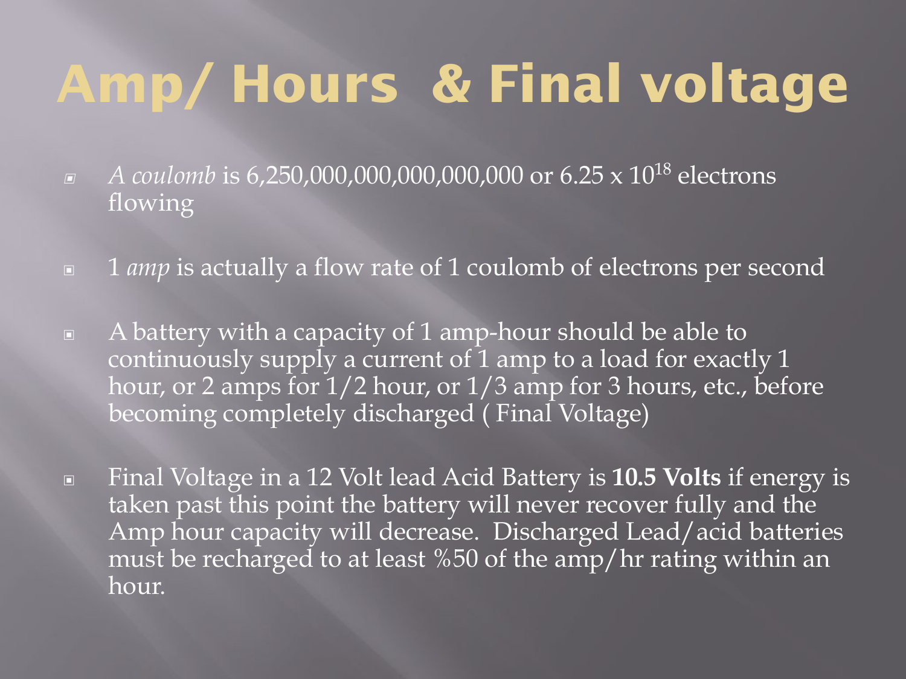## **Amp/ Hours & Final voltage**

- ▣ *A coulomb* is 6,250,000,000,000,000,000 or 6.25 x 1018 electrons flowing
- ▣ 1 *amp* is actually a flow rate of 1 coulomb of electrons per second
- ▣ A battery with a capacity of 1 amp-hour should be able to continuously supply a current of  $1$  amp to a load for exactly 1 hour, or 2 amps for  $1/2$  hour, or  $1/3$  amp for 3 hours, etc., before becoming completely discharged (Final Voltage)
- ▣ Final Voltage in a 12 Volt lead Acid Battery is **10.5 Volts** if energy is taken past this point the battery will never recover fully and the Amp hour capacity will decrease. Discharged Lead/acid batteries must be recharged to at least %50 of the amp/hr rating within an hour.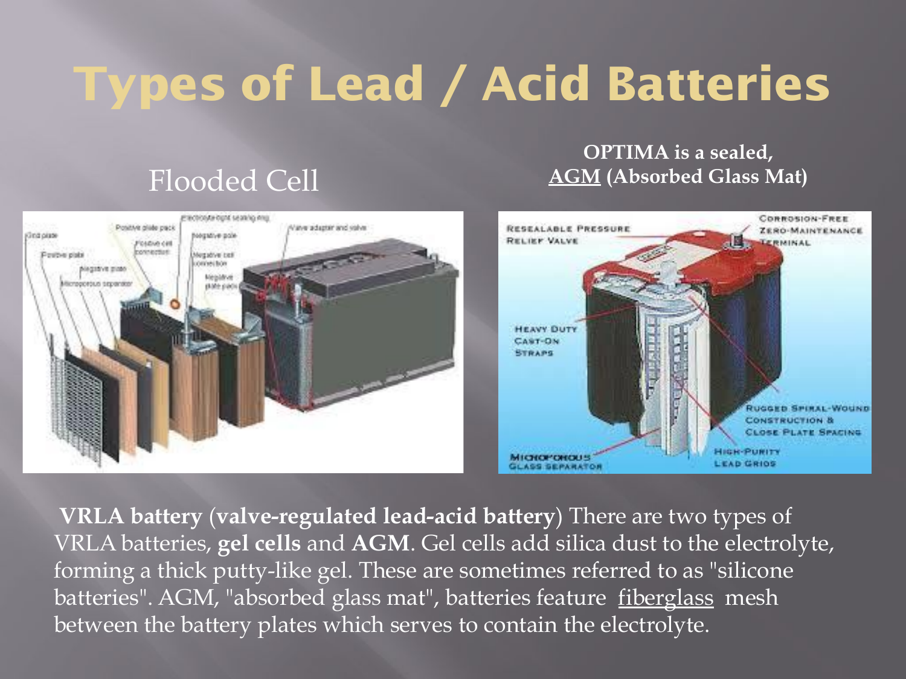### **Types of Lead / Acid Batteries**

### Flooded Cell

### **OPTIMA is a sealed, AGM (Absorbed Glass Mat)**



**VRLA battery** (**valve-regulated lead-acid battery**) There are two types of VRLA batteries, **gel cells** and **AGM**. Gel cells add silica dust to the electrolyte, forming a thick putty-like gel. These are sometimes referred to as "silicone batteries". AGM, "absorbed glass mat", batteries feature fiberglass mesh between the battery plates which serves to contain the electrolyte.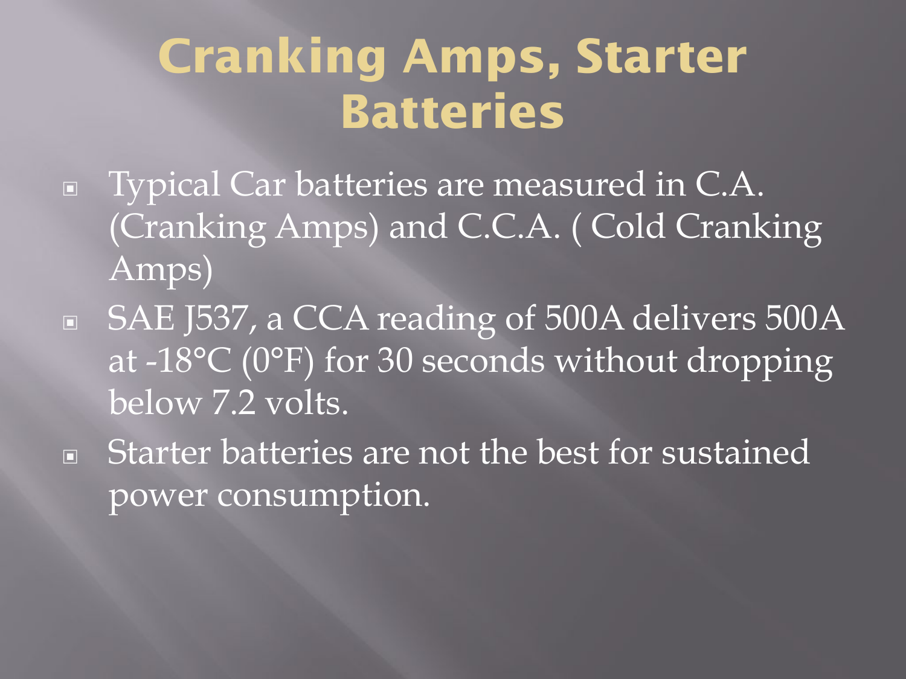### **Cranking Amps, Starter Batteries**

- ▣ Typical Car batteries are measured in C.A. (Cranking Amps) and C.C.A. ( Cold Cranking Amps)
- ▣ SAE J537, a CCA reading of 500A delivers 500A at -18°C (0°F) for 30 seconds without dropping below 7.2 volts.
- ▣ Starter batteries are not the best for sustained power consumption.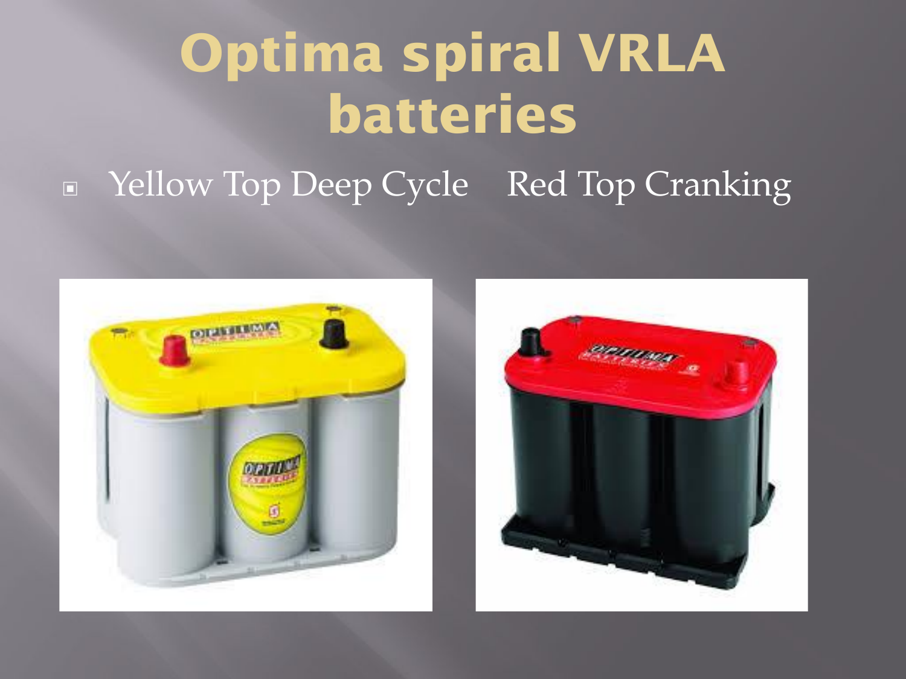## **Optima spiral VRLA batteries**

### ▣ Yellow Top Deep Cycle Red Top Cranking



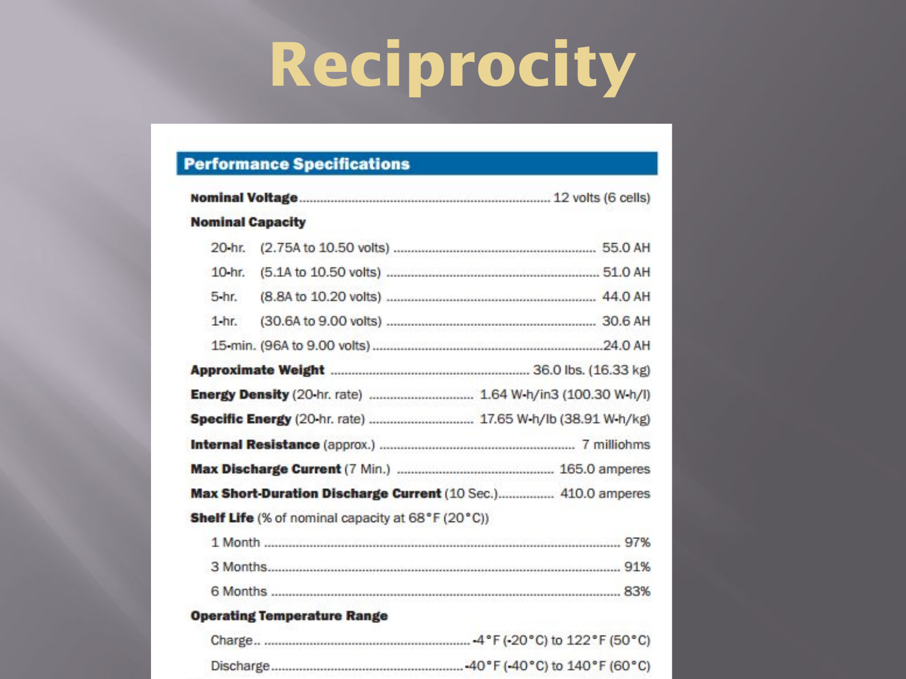# **Reciprocity**

### **Performance Specifications**

| <b>Nominal Capacity</b> |                                                              |
|-------------------------|--------------------------------------------------------------|
| $20 - hr$               |                                                              |
|                         |                                                              |
| 5-hr.                   |                                                              |
| $1-hr.$                 |                                                              |
|                         |                                                              |
|                         |                                                              |
|                         | Energy Density (20-hr. rate)  1.64 W-h/in3 (100.30 W-h/l)    |
|                         | Specific Energy (20-hr. rate)  17.65 W-h/lb (38.91 W-h/kg)   |
|                         |                                                              |
|                         |                                                              |
|                         | Max Short-Duration Discharge Current (10 Sec.) 410.0 amperes |
|                         | <b>Shelf Life</b> (% of nominal capacity at 68°F (20°C))     |
|                         |                                                              |
|                         |                                                              |

#### **Operating Temperature Range**

| Charge    |  | .4°F (-20°C) to 122°F (50°C)  |  |
|-----------|--|-------------------------------|--|
| Discharge |  | -40°F (-40°C) to 140°F (60°C) |  |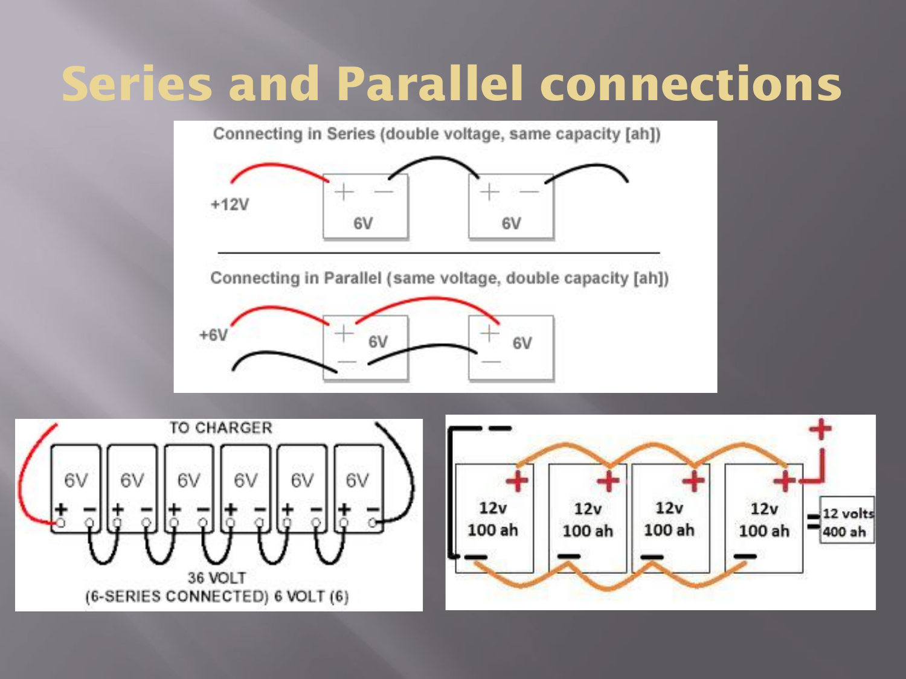### **Series and Parallel connections**



Connecting in Parallel (same voltage, double capacity [ah])





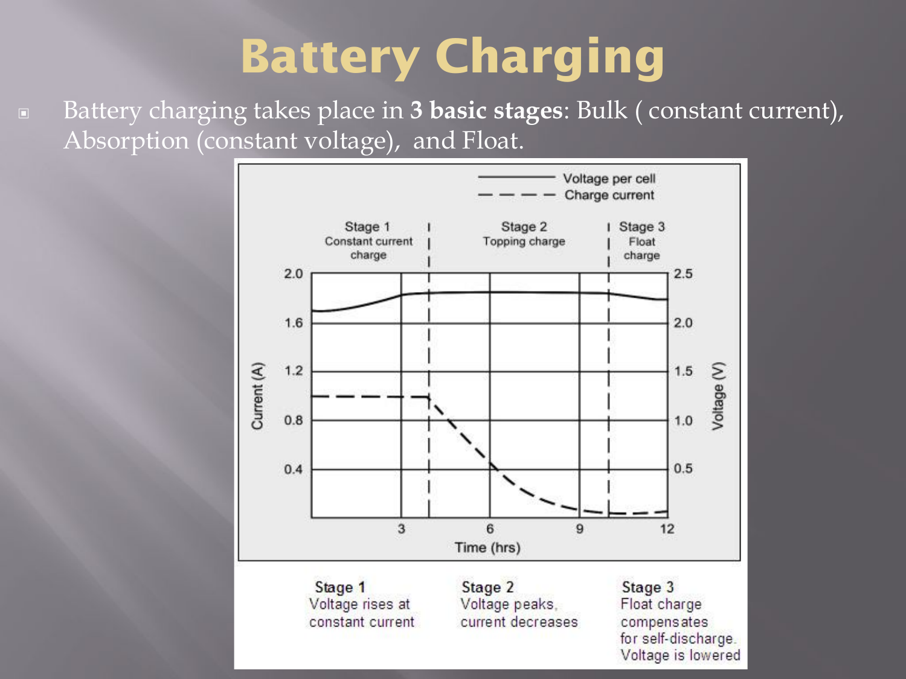### **Battery Charging**

▣ Battery charging takes place in **3 basic stages**: Bulk ( constant current), Absorption (constant voltage), and Float.